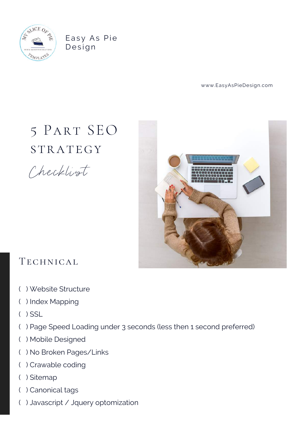

Easy As Pie D e s ign

www.EasyAsPieDesign.com

# 5 Part SEO STRATEGY

Checklist



## TECHNICAL

- ( ) Website Structure
- ( ) Index Mapping
- $( )$  SSL
- ( ) Page Speed Loading under 3 seconds (less then 1 second preferred)
- ( ) Mobile Designed
- ( ) No Broken Pages/Links
- ( ) Crawable coding
- ( ) Sitemap
- ( ) Canonical tags
- ( ) Javascript / Jquery optomization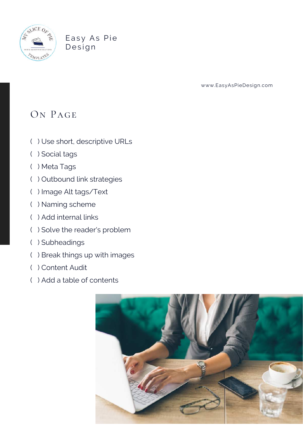

Easy As Pie D e s ign

www.EasyAsPieDesign.com

## ON PAGE

- ( ) Use short, descriptive URLs
- ( ) Social tags
- ( ) Meta Tags
- ( ) Outbound link strategies
- ( ) Image Alt tags/Text
- ( ) Naming scheme
- ( ) Add internal links
- ( ) Solve the reader's problem
- ( ) Subheadings
- ( ) Break things up with images
- ( ) Content Audit
- ( ) Add a table of contents

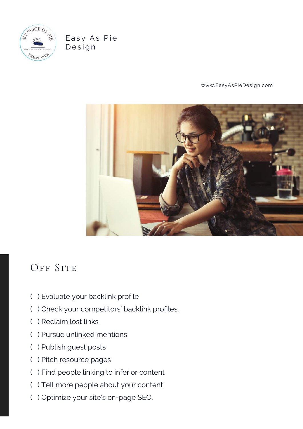

Easy As Pie Design

www.EasyAsPieDesign.com



#### OFF SITE

- ( ) Evaluate your backlink profile
- ( ) Check your competitors' backlink profiles.
- ( ) Reclaim lost links
- ( ) Pursue unlinked mentions
- ( ) Publish guest posts
- ( ) Pitch resource pages
- ( ) Find people linking to inferior content
- ( ) Tell more people about your content
- ( ) Optimize your site's on-page SEO.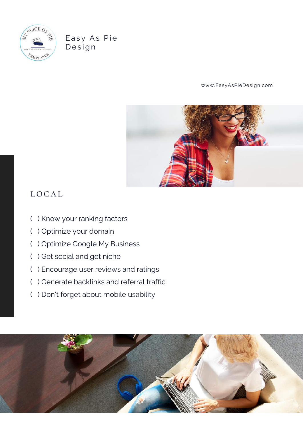

Easy As Pie Design

www.EasyAsPieDesign.com



#### local

- ( ) Know your ranking factors
- ( ) Optimize your domain
- ( ) Optimize Google My Business
- ( ) Get social and get niche
- ( ) Encourage user reviews and ratings
- ( ) Generate backlinks and referral traffic
- ( ) Don't forget about mobile usability